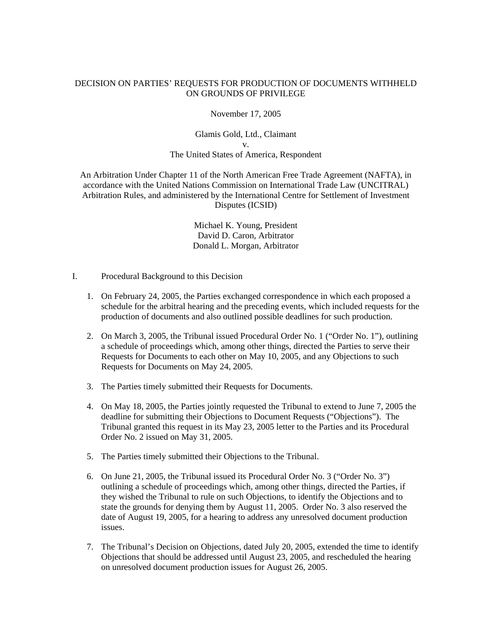## DECISION ON PARTIES' REQUESTS FOR PRODUCTION OF DOCUMENTS WITHHELD ON GROUNDS OF PRIVILEGE

#### November 17, 2005

# Glamis Gold, Ltd., Claimant v. The United States of America, Respondent

An Arbitration Under Chapter 11 of the North American Free Trade Agreement (NAFTA), in accordance with the United Nations Commission on International Trade Law (UNCITRAL) Arbitration Rules, and administered by the International Centre for Settlement of Investment Disputes (ICSID)

> Michael K. Young, President David D. Caron, Arbitrator Donald L. Morgan, Arbitrator

- I. Procedural Background to this Decision
	- 1. On February 24, 2005, the Parties exchanged correspondence in which each proposed a schedule for the arbitral hearing and the preceding events, which included requests for the production of documents and also outlined possible deadlines for such production.
	- 2. On March 3, 2005, the Tribunal issued Procedural Order No. 1 ("Order No. 1"), outlining a schedule of proceedings which, among other things, directed the Parties to serve their Requests for Documents to each other on May 10, 2005, and any Objections to such Requests for Documents on May 24, 2005.
	- 3. The Parties timely submitted their Requests for Documents.
	- 4. On May 18, 2005, the Parties jointly requested the Tribunal to extend to June 7, 2005 the deadline for submitting their Objections to Document Requests ("Objections"). The Tribunal granted this request in its May 23, 2005 letter to the Parties and its Procedural Order No. 2 issued on May 31, 2005.
	- 5. The Parties timely submitted their Objections to the Tribunal.
	- 6. On June 21, 2005, the Tribunal issued its Procedural Order No. 3 ("Order No. 3") outlining a schedule of proceedings which, among other things, directed the Parties, if they wished the Tribunal to rule on such Objections, to identify the Objections and to state the grounds for denying them by August 11, 2005. Order No. 3 also reserved the date of August 19, 2005, for a hearing to address any unresolved document production issues.
	- 7. The Tribunal's Decision on Objections, dated July 20, 2005, extended the time to identify Objections that should be addressed until August 23, 2005, and rescheduled the hearing on unresolved document production issues for August 26, 2005.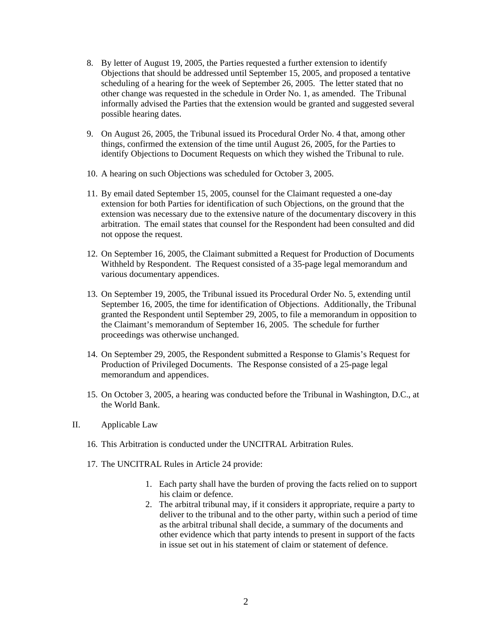- 8. By letter of August 19, 2005, the Parties requested a further extension to identify Objections that should be addressed until September 15, 2005, and proposed a tentative scheduling of a hearing for the week of September 26, 2005. The letter stated that no other change was requested in the schedule in Order No. 1, as amended. The Tribunal informally advised the Parties that the extension would be granted and suggested several possible hearing dates.
- 9. On August 26, 2005, the Tribunal issued its Procedural Order No. 4 that, among other things, confirmed the extension of the time until August 26, 2005, for the Parties to identify Objections to Document Requests on which they wished the Tribunal to rule.
- 10. A hearing on such Objections was scheduled for October 3, 2005.
- 11. By email dated September 15, 2005, counsel for the Claimant requested a one-day extension for both Parties for identification of such Objections, on the ground that the extension was necessary due to the extensive nature of the documentary discovery in this arbitration. The email states that counsel for the Respondent had been consulted and did not oppose the request.
- 12. On September 16, 2005, the Claimant submitted a Request for Production of Documents Withheld by Respondent. The Request consisted of a 35-page legal memorandum and various documentary appendices.
- 13. On September 19, 2005, the Tribunal issued its Procedural Order No. 5, extending until September 16, 2005, the time for identification of Objections. Additionally, the Tribunal granted the Respondent until September 29, 2005, to file a memorandum in opposition to the Claimant's memorandum of September 16, 2005. The schedule for further proceedings was otherwise unchanged.
- 14. On September 29, 2005, the Respondent submitted a Response to Glamis's Request for Production of Privileged Documents. The Response consisted of a 25-page legal memorandum and appendices.
- 15. On October 3, 2005, a hearing was conducted before the Tribunal in Washington, D.C., at the World Bank.
- II. Applicable Law
	- 16. This Arbitration is conducted under the UNCITRAL Arbitration Rules.
	- 17. The UNCITRAL Rules in Article 24 provide:
		- 1. Each party shall have the burden of proving the facts relied on to support his claim or defence.
		- 2. The arbitral tribunal may, if it considers it appropriate, require a party to deliver to the tribunal and to the other party, within such a period of time as the arbitral tribunal shall decide, a summary of the documents and other evidence which that party intends to present in support of the facts in issue set out in his statement of claim or statement of defence.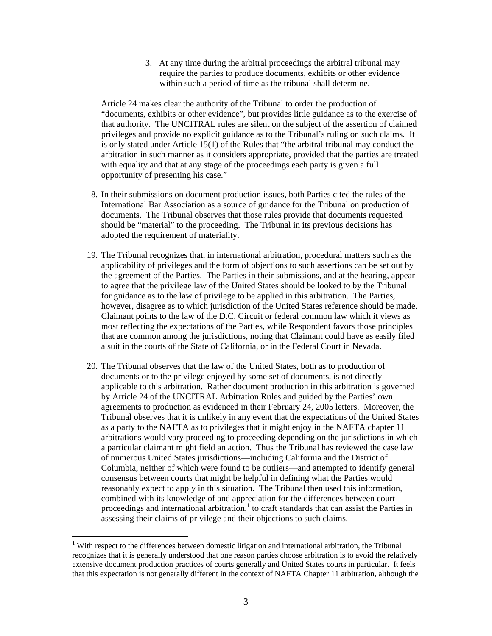3. At any time during the arbitral proceedings the arbitral tribunal may require the parties to produce documents, exhibits or other evidence within such a period of time as the tribunal shall determine.

Article 24 makes clear the authority of the Tribunal to order the production of "documents, exhibits or other evidence", but provides little guidance as to the exercise of that authority. The UNCITRAL rules are silent on the subject of the assertion of claimed privileges and provide no explicit guidance as to the Tribunal's ruling on such claims. It is only stated under Article 15(1) of the Rules that "the arbitral tribunal may conduct the arbitration in such manner as it considers appropriate, provided that the parties are treated with equality and that at any stage of the proceedings each party is given a full opportunity of presenting his case."

- 18. In their submissions on document production issues, both Parties cited the rules of the International Bar Association as a source of guidance for the Tribunal on production of documents. The Tribunal observes that those rules provide that documents requested should be "material" to the proceeding. The Tribunal in its previous decisions has adopted the requirement of materiality.
- 19. The Tribunal recognizes that, in international arbitration, procedural matters such as the applicability of privileges and the form of objections to such assertions can be set out by the agreement of the Parties. The Parties in their submissions, and at the hearing, appear to agree that the privilege law of the United States should be looked to by the Tribunal for guidance as to the law of privilege to be applied in this arbitration. The Parties, however, disagree as to which jurisdiction of the United States reference should be made. Claimant points to the law of the D.C. Circuit or federal common law which it views as most reflecting the expectations of the Parties, while Respondent favors those principles that are common among the jurisdictions, noting that Claimant could have as easily filed a suit in the courts of the State of California, or in the Federal Court in Nevada.
- 20. The Tribunal observes that the law of the United States, both as to production of documents or to the privilege enjoyed by some set of documents, is not directly applicable to this arbitration. Rather document production in this arbitration is governed by Article 24 of the UNCITRAL Arbitration Rules and guided by the Parties' own agreements to production as evidenced in their February 24, 2005 letters. Moreover, the Tribunal observes that it is unlikely in any event that the expectations of the United States as a party to the NAFTA as to privileges that it might enjoy in the NAFTA chapter 11 arbitrations would vary proceeding to proceeding depending on the jurisdictions in which a particular claimant might field an action. Thus the Tribunal has reviewed the case law of numerous United States jurisdictions—including California and the District of Columbia, neither of which were found to be outliers—and attempted to identify general consensus between courts that might be helpful in defining what the Parties would reasonably expect to apply in this situation. The Tribunal then used this information, combined with its knowledge of and appreciation for the differences between court proceedings and international arbitration, $<sup>1</sup>$  to craft standards that can assist the Parties in</sup> assessing their claims of privilege and their objections to such claims.

<sup>&</sup>lt;sup>1</sup> With respect to the differences between domestic litigation and international arbitration, the Tribunal recognizes that it is generally understood that one reason parties choose arbitration is to avoid the relatively extensive document production practices of courts generally and United States courts in particular. It feels that this expectation is not generally different in the context of NAFTA Chapter 11 arbitration, although the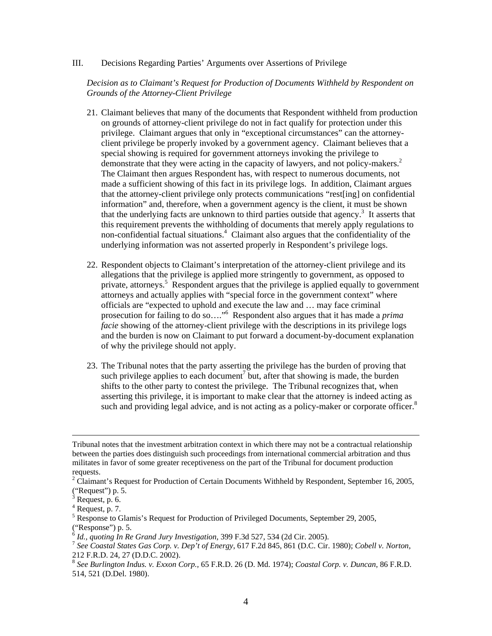#### III. Decisions Regarding Parties' Arguments over Assertions of Privilege

## *Decision as to Claimant's Request for Production of Documents Withheld by Respondent on Grounds of the Attorney-Client Privilege*

- 21. Claimant believes that many of the documents that Respondent withheld from production on grounds of attorney-client privilege do not in fact qualify for protection under this privilege. Claimant argues that only in "exceptional circumstances" can the attorneyclient privilege be properly invoked by a government agency. Claimant believes that a special showing is required for government attorneys invoking the privilege to demonstrate that they were acting in the capacity of lawyers, and not policy-makers.<sup>2</sup> The Claimant then argues Respondent has, with respect to numerous documents, not made a sufficient showing of this fact in its privilege logs. In addition, Claimant argues that the attorney-client privilege only protects communications "rest[ing] on confidential information" and, therefore, when a government agency is the client, it must be shown that the underlying facts are unknown to third parties outside that agency.<sup>3</sup> It asserts that this requirement prevents the withholding of documents that merely apply regulations to non-confidential factual situations.4 Claimant also argues that the confidentiality of the underlying information was not asserted properly in Respondent's privilege logs.
- 22. Respondent objects to Claimant's interpretation of the attorney-client privilege and its allegations that the privilege is applied more stringently to government, as opposed to private, attorneys.<sup>5</sup> Respondent argues that the privilege is applied equally to government attorneys and actually applies with "special force in the government context" where officials are "expected to uphold and execute the law and … may face criminal prosecution for failing to do so…."6 Respondent also argues that it has made a *prima facie* showing of the attorney-client privilege with the descriptions in its privilege logs and the burden is now on Claimant to put forward a document-by-document explanation of why the privilege should not apply.
- 23. The Tribunal notes that the party asserting the privilege has the burden of proving that such privilege applies to each document<sup>7</sup> but, after that showing is made, the burden shifts to the other party to contest the privilege. The Tribunal recognizes that, when asserting this privilege, it is important to make clear that the attorney is indeed acting as such and providing legal advice, and is not acting as a policy-maker or corporate officer.<sup>8</sup>

Tribunal notes that the investment arbitration context in which there may not be a contractual relationship between the parties does distinguish such proceedings from international commercial arbitration and thus militates in favor of some greater receptiveness on the part of the Tribunal for document production requests.

<sup>&</sup>lt;sup>2</sup> Claimant's Request for Production of Certain Documents Withheld by Respondent, September 16, 2005, ("Request") p. 5.

<sup>3</sup> Request, p. 6.

 $4$  Request, p. 7.

<sup>&</sup>lt;sup>5</sup> Response to Glamis's Request for Production of Privileged Documents, September 29, 2005,

<sup>(&</sup>quot;Response") p. 5.

<sup>6</sup> *Id., quoting In Re Grand Jury Investigation,* 399 F.3d 527, 534 (2d Cir. 2005). 7 *See Coastal States Gas Corp. v. Dep't of Energy*, 617 F.2d 845, 861 (D.C. Cir. 1980); *Cobell v. Norton,*  212 F.R.D. 24, 27 (D.D.C. 2002).

<sup>8</sup> *See Burlington Indus. v. Exxon Corp.,* 65 F.R.D. 26 (D. Md. 1974); *Coastal Corp. v. Duncan*, 86 F.R.D. 514, 521 (D.Del. 1980).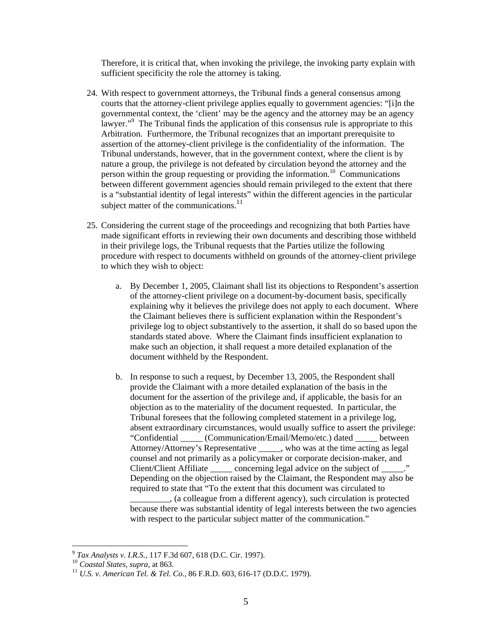Therefore, it is critical that, when invoking the privilege, the invoking party explain with sufficient specificity the role the attorney is taking.

- 24. With respect to government attorneys, the Tribunal finds a general consensus among courts that the attorney-client privilege applies equally to government agencies: "[i]n the governmental context, the 'client' may be the agency and the attorney may be an agency lawyer."<sup>9</sup> The Tribunal finds the application of this consensus rule is appropriate to this Arbitration. Furthermore, the Tribunal recognizes that an important prerequisite to assertion of the attorney-client privilege is the confidentiality of the information. The Tribunal understands, however, that in the government context, where the client is by nature a group, the privilege is not defeated by circulation beyond the attorney and the person within the group requesting or providing the information.<sup>10</sup> Communications between different government agencies should remain privileged to the extent that there is a "substantial identity of legal interests" within the different agencies in the particular subject matter of the communications. $11$
- 25. Considering the current stage of the proceedings and recognizing that both Parties have made significant efforts in reviewing their own documents and describing those withheld in their privilege logs, the Tribunal requests that the Parties utilize the following procedure with respect to documents withheld on grounds of the attorney-client privilege to which they wish to object:
	- a. By December 1, 2005, Claimant shall list its objections to Respondent's assertion of the attorney-client privilege on a document-by-document basis, specifically explaining why it believes the privilege does not apply to each document. Where the Claimant believes there is sufficient explanation within the Respondent's privilege log to object substantively to the assertion, it shall do so based upon the standards stated above. Where the Claimant finds insufficient explanation to make such an objection, it shall request a more detailed explanation of the document withheld by the Respondent.
	- b. In response to such a request, by December 13, 2005, the Respondent shall provide the Claimant with a more detailed explanation of the basis in the document for the assertion of the privilege and, if applicable, the basis for an objection as to the materiality of the document requested. In particular, the Tribunal foresees that the following completed statement in a privilege log, absent extraordinary circumstances, would usually suffice to assert the privilege: "Confidential \_\_\_\_\_ (Communication/Email/Memo/etc.) dated \_\_\_\_\_ between Attorney/Attorney's Representative \_\_\_\_\_, who was at the time acting as legal counsel and not primarily as a policymaker or corporate decision-maker, and Client/Client Affiliate concerning legal advice on the subject of Depending on the objection raised by the Claimant, the Respondent may also be required to state that "To the extent that this document was circulated to \_\_\_\_\_\_\_\_\_, (a colleague from a different agency), such circulation is protected because there was substantial identity of legal interests between the two agencies with respect to the particular subject matter of the communication."

<sup>&</sup>lt;sup>9</sup> Tax Analysts v. I.R.S., 117 F.3d 607, 618 (D.C. Cir. 1997).

<sup>&</sup>lt;sup>10</sup> *Coastal States, supra, at 863. (1007). Coastal States, supra, at 863. Co., 86 F.R.D. 603, 616-17 (D.D.C. 1979). 10.5. 0.4. 1979. American Tel. & Tel. Co., 86 F.R.D. 603, 616-17 (D.D.C. 1979).*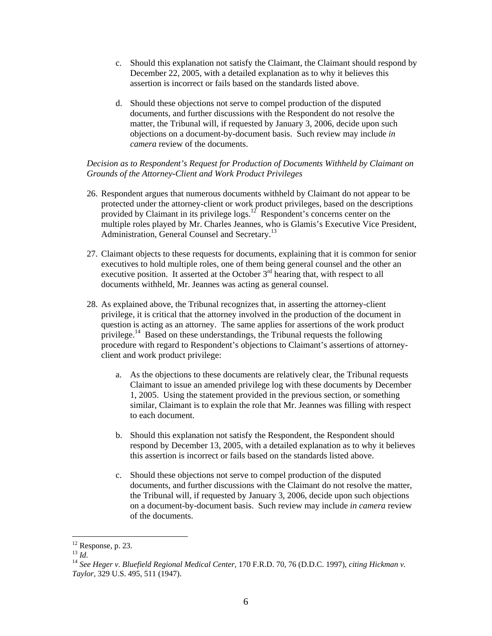- c. Should this explanation not satisfy the Claimant, the Claimant should respond by December 22, 2005, with a detailed explanation as to why it believes this assertion is incorrect or fails based on the standards listed above.
- d. Should these objections not serve to compel production of the disputed documents, and further discussions with the Respondent do not resolve the matter, the Tribunal will, if requested by January 3, 2006, decide upon such objections on a document-by-document basis. Such review may include *in camera* review of the documents.

## *Decision as to Respondent's Request for Production of Documents Withheld by Claimant on Grounds of the Attorney-Client and Work Product Privileges*

- 26. Respondent argues that numerous documents withheld by Claimant do not appear to be protected under the attorney-client or work product privileges, based on the descriptions provided by Claimant in its privilege logs.<sup>12</sup> Respondent's concerns center on the multiple roles played by Mr. Charles Jeannes, who is Glamis's Executive Vice President, Administration, General Counsel and Secretary.<sup>13</sup>
- 27. Claimant objects to these requests for documents, explaining that it is common for senior executives to hold multiple roles, one of them being general counsel and the other an executive position. It asserted at the October  $3<sup>rd</sup>$  hearing that, with respect to all documents withheld, Mr. Jeannes was acting as general counsel.
- 28. As explained above, the Tribunal recognizes that, in asserting the attorney-client privilege, it is critical that the attorney involved in the production of the document in question is acting as an attorney. The same applies for assertions of the work product privilege.<sup>14</sup> Based on these understandings, the Tribunal requests the following procedure with regard to Respondent's objections to Claimant's assertions of attorneyclient and work product privilege:
	- a. As the objections to these documents are relatively clear, the Tribunal requests Claimant to issue an amended privilege log with these documents by December 1, 2005. Using the statement provided in the previous section, or something similar, Claimant is to explain the role that Mr. Jeannes was filling with respect to each document.
	- b. Should this explanation not satisfy the Respondent, the Respondent should respond by December 13, 2005, with a detailed explanation as to why it believes this assertion is incorrect or fails based on the standards listed above.
	- c. Should these objections not serve to compel production of the disputed documents, and further discussions with the Claimant do not resolve the matter, the Tribunal will, if requested by January 3, 2006, decide upon such objections on a document-by-document basis. Such review may include *in camera* review of the documents.

 $12$  Response, p. 23.

<sup>13</sup> *Id.* 14 *See Heger v. Bluefield Regional Medical Center,* 170 F.R.D. 70, 76 (D.D.C. 1997), *citing Hickman v. Taylor,* 329 U.S. 495, 511 (1947).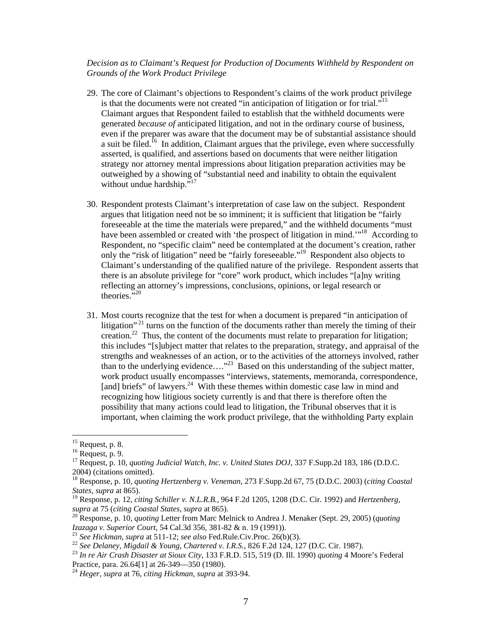## *Decision as to Claimant's Request for Production of Documents Withheld by Respondent on Grounds of the Work Product Privilege*

- 29. The core of Claimant's objections to Respondent's claims of the work product privilege is that the documents were not created "in anticipation of litigation or for trial."15 Claimant argues that Respondent failed to establish that the withheld documents were generated *because of* anticipated litigation, and not in the ordinary course of business, even if the preparer was aware that the document may be of substantial assistance should a suit be filed.<sup>16</sup> In addition, Claimant argues that the privilege, even where successfully asserted, is qualified, and assertions based on documents that were neither litigation strategy nor attorney mental impressions about litigation preparation activities may be outweighed by a showing of "substantial need and inability to obtain the equivalent without undue hardship."<sup>17</sup>
- 30. Respondent protests Claimant's interpretation of case law on the subject. Respondent argues that litigation need not be so imminent; it is sufficient that litigation be "fairly foreseeable at the time the materials were prepared," and the withheld documents "must have been assembled or created with 'the prospect of litigation in mind.'"<sup>18</sup> According to Respondent, no "specific claim" need be contemplated at the document's creation, rather only the "risk of litigation" need be "fairly foreseeable."19 Respondent also objects to Claimant's understanding of the qualified nature of the privilege. Respondent asserts that there is an absolute privilege for "core" work product, which includes "[a]ny writing reflecting an attorney's impressions, conclusions, opinions, or legal research or theories."<sup>20</sup>
- 31. Most courts recognize that the test for when a document is prepared "in anticipation of litigation"<sup>21</sup> turns on the function of the documents rather than merely the timing of their creation.<sup>22</sup> Thus, the content of the documents must relate to preparation for litigation; this includes "[s]ubject matter that relates to the preparation, strategy, and appraisal of the strengths and weaknesses of an action, or to the activities of the attorneys involved, rather than to the underlying evidence...."<sup>23</sup> Based on this understanding of the subject matter, work product usually encompasses "interviews, statements, memoranda, correspondence, [and] briefs" of lawyers.<sup>24</sup> With these themes within domestic case law in mind and recognizing how litigious society currently is and that there is therefore often the possibility that many actions could lead to litigation, the Tribunal observes that it is important, when claiming the work product privilege, that the withholding Party explain

 $15$  Request, p. 8.

 $16$  Request, p. 9.

<sup>&</sup>lt;sup>17</sup> Request, p. 10, *quoting Judicial Watch, Inc. v. United States DOJ*, 337 F.Supp.2d 183, 186 (D.D.C. 2004) (citations omitted).

<sup>18</sup> Response, p. 10, *quoting Hertzenberg v. Veneman,* 273 F.Supp.2d 67, 75 (D.D.C. 2003) (*citing Coastal States, supra* at 865).

<sup>19</sup> Response, p. 12, *citing Schiller v. N.L.R.B.,* 964 F.2d 1205, 1208 (D.C. Cir. 1992) and *Hertzenberg,* 

*supra* at 75 (*citing Coastal States, supra* at 865).<br><sup>20</sup> Response, p. 10, *quoting Letter from Marc Melnick to Andrea J. Menaker (Sept. 29, 2005) (<i>quoting Izazaga v. Superior Court, 54 Cal.3d 356, 381-82 & n. 19 (1991)* 

<sup>&</sup>lt;sup>21</sup> See Hickman, supra at 511-12; see also Fed.Rule.Civ.Proc. 26(b)(3).<br><sup>22</sup> See Delaney, Migdail & Young, Chartered v. I.R.S., 826 F.2d 124, 127 (D.C. Cir. 1987).<br><sup>23</sup> In re Air Crash Disaster at Sioux City, 133 F.R.D.

Practice, para. 26.64[1] at 26-349—350 (1980).

<sup>24</sup> *Heger, supra* at 76, *citing Hickman, supra* at 393-94.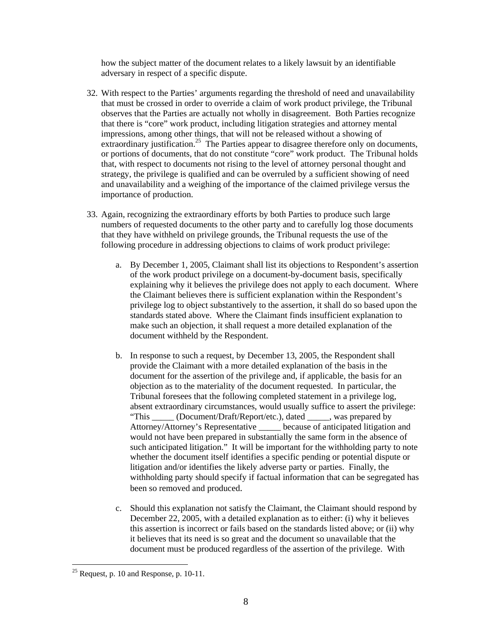how the subject matter of the document relates to a likely lawsuit by an identifiable adversary in respect of a specific dispute.

- 32. With respect to the Parties' arguments regarding the threshold of need and unavailability that must be crossed in order to override a claim of work product privilege, the Tribunal observes that the Parties are actually not wholly in disagreement. Both Parties recognize that there is "core" work product, including litigation strategies and attorney mental impressions, among other things, that will not be released without a showing of extraordinary justification.<sup>25</sup> The Parties appear to disagree therefore only on documents, or portions of documents, that do not constitute "core" work product. The Tribunal holds that, with respect to documents not rising to the level of attorney personal thought and strategy, the privilege is qualified and can be overruled by a sufficient showing of need and unavailability and a weighing of the importance of the claimed privilege versus the importance of production.
- 33. Again, recognizing the extraordinary efforts by both Parties to produce such large numbers of requested documents to the other party and to carefully log those documents that they have withheld on privilege grounds, the Tribunal requests the use of the following procedure in addressing objections to claims of work product privilege:
	- a. By December 1, 2005, Claimant shall list its objections to Respondent's assertion of the work product privilege on a document-by-document basis, specifically explaining why it believes the privilege does not apply to each document. Where the Claimant believes there is sufficient explanation within the Respondent's privilege log to object substantively to the assertion, it shall do so based upon the standards stated above. Where the Claimant finds insufficient explanation to make such an objection, it shall request a more detailed explanation of the document withheld by the Respondent.
	- b. In response to such a request, by December 13, 2005, the Respondent shall provide the Claimant with a more detailed explanation of the basis in the document for the assertion of the privilege and, if applicable, the basis for an objection as to the materiality of the document requested. In particular, the Tribunal foresees that the following completed statement in a privilege log, absent extraordinary circumstances, would usually suffice to assert the privilege: "This \_\_\_\_\_ (Document/Draft/Report/etc.), dated \_\_\_\_\_, was prepared by Attorney/Attorney's Representative \_\_\_\_\_ because of anticipated litigation and would not have been prepared in substantially the same form in the absence of such anticipated litigation." It will be important for the withholding party to note whether the document itself identifies a specific pending or potential dispute or litigation and/or identifies the likely adverse party or parties. Finally, the withholding party should specify if factual information that can be segregated has been so removed and produced.
	- c. Should this explanation not satisfy the Claimant, the Claimant should respond by December 22, 2005, with a detailed explanation as to either: (i) why it believes this assertion is incorrect or fails based on the standards listed above; or (ii) why it believes that its need is so great and the document so unavailable that the document must be produced regardless of the assertion of the privilege. With

 $25$  Request, p. 10 and Response, p. 10-11.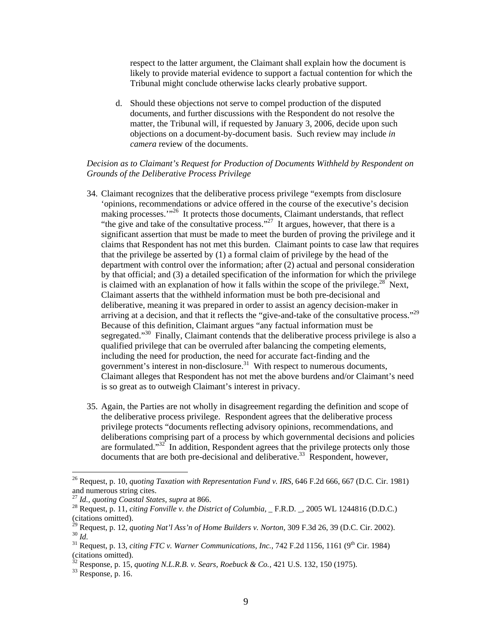respect to the latter argument, the Claimant shall explain how the document is likely to provide material evidence to support a factual contention for which the Tribunal might conclude otherwise lacks clearly probative support.

d. Should these objections not serve to compel production of the disputed documents, and further discussions with the Respondent do not resolve the matter, the Tribunal will, if requested by January 3, 2006, decide upon such objections on a document-by-document basis. Such review may include *in camera* review of the documents.

#### *Decision as to Claimant's Request for Production of Documents Withheld by Respondent on Grounds of the Deliberative Process Privilege*

- 34. Claimant recognizes that the deliberative process privilege "exempts from disclosure 'opinions, recommendations or advice offered in the course of the executive's decision making processes."<sup>26</sup> It protects those documents, Claimant understands, that reflect "the give and take of the consultative process."<sup>27</sup> It argues, however, that there is a significant assertion that must be made to meet the burden of proving the privilege and it claims that Respondent has not met this burden. Claimant points to case law that requires that the privilege be asserted by (1) a formal claim of privilege by the head of the department with control over the information; after (2) actual and personal consideration by that official; and (3) a detailed specification of the information for which the privilege is claimed with an explanation of how it falls within the scope of the privilege.<sup>28</sup> Next, Claimant asserts that the withheld information must be both pre-decisional and deliberative, meaning it was prepared in order to assist an agency decision-maker in arriving at a decision, and that it reflects the "give-and-take of the consultative process."<sup>29</sup> Because of this definition, Claimant argues "any factual information must be segregated." $30$  Finally, Claimant contends that the deliberative process privilege is also a qualified privilege that can be overruled after balancing the competing elements, including the need for production, the need for accurate fact-finding and the government's interest in non-disclosure.<sup>31</sup> With respect to numerous documents, Claimant alleges that Respondent has not met the above burdens and/or Claimant's need is so great as to outweigh Claimant's interest in privacy.
- 35. Again, the Parties are not wholly in disagreement regarding the definition and scope of the deliberative process privilege. Respondent agrees that the deliberative process privilege protects "documents reflecting advisory opinions, recommendations, and deliberations comprising part of a process by which governmental decisions and policies are formulated."<sup>32</sup> In addition, Respondent agrees that the privilege protects only those documents that are both pre-decisional and deliberative.<sup>33</sup> Respondent, however,

<sup>&</sup>lt;sup>26</sup> Request, p. 10, *quoting Taxation with Representation Fund v. IRS*, 646 F.2d 666, 667 (D.C. Cir. 1981) and numerous string cites.<br> $^{27}$  *Id., quoting Coastal States, supra* at 866.

<sup>&</sup>lt;sup>28</sup> Request, p. 11, *citing Fonville v. the District of Columbia*, *\_ F.R.D.* \_, 2005 WL 1244816 (D.D.C.) (citations omitted).<br><sup>29</sup> Request, p. 12, *quoting Nat'l Ass'n of Home Builders v. Norton*, 309 F.3d 26, 39 (D.C. Cir. 2002).

 $^{30}$  *Id.*<br><sup>31</sup> Request, p. 13, *citing FTC v. Warner Communications, Inc.*, 742 F.2d 1156, 1161 (9<sup>th</sup> Cir. 1984)

<sup>(</sup>citations omitted).

<sup>&</sup>lt;sup>32</sup> Response, p. 15, *quoting N.L.R.B. v. Sears, Roebuck & Co.*, 421 U.S. 132, 150 (1975).<br><sup>33</sup> Response, p. 16.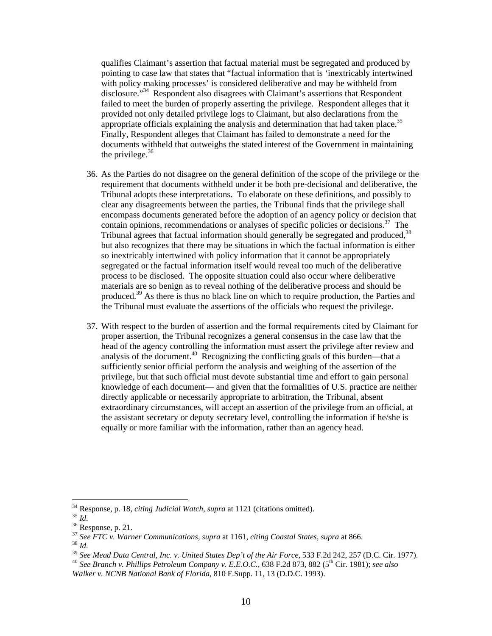qualifies Claimant's assertion that factual material must be segregated and produced by pointing to case law that states that "factual information that is 'inextricably intertwined with policy making processes' is considered deliberative and may be withheld from disclosure."<sup>34</sup> Respondent also disagrees with Claimant's assertions that Respondent failed to meet the burden of properly asserting the privilege. Respondent alleges that it provided not only detailed privilege logs to Claimant, but also declarations from the appropriate officials explaining the analysis and determination that had taken place.<sup>35</sup> Finally, Respondent alleges that Claimant has failed to demonstrate a need for the documents withheld that outweighs the stated interest of the Government in maintaining the privilege. $36$ 

- 36. As the Parties do not disagree on the general definition of the scope of the privilege or the requirement that documents withheld under it be both pre-decisional and deliberative, the Tribunal adopts these interpretations. To elaborate on these definitions, and possibly to clear any disagreements between the parties, the Tribunal finds that the privilege shall encompass documents generated before the adoption of an agency policy or decision that contain opinions, recommendations or analyses of specific policies or decisions.<sup>37</sup> The Tribunal agrees that factual information should generally be segregated and produced,<sup>38</sup> but also recognizes that there may be situations in which the factual information is either so inextricably intertwined with policy information that it cannot be appropriately segregated or the factual information itself would reveal too much of the deliberative process to be disclosed. The opposite situation could also occur where deliberative materials are so benign as to reveal nothing of the deliberative process and should be produced.<sup>39</sup> As there is thus no black line on which to require production, the Parties and the Tribunal must evaluate the assertions of the officials who request the privilege.
- 37. With respect to the burden of assertion and the formal requirements cited by Claimant for proper assertion, the Tribunal recognizes a general consensus in the case law that the head of the agency controlling the information must assert the privilege after review and analysis of the document.<sup>40</sup> Recognizing the conflicting goals of this burden—that a sufficiently senior official perform the analysis and weighing of the assertion of the privilege, but that such official must devote substantial time and effort to gain personal knowledge of each document— and given that the formalities of U.S. practice are neither directly applicable or necessarily appropriate to arbitration, the Tribunal, absent extraordinary circumstances, will accept an assertion of the privilege from an official, at the assistant secretary or deputy secretary level, controlling the information if he/she is equally or more familiar with the information, rather than an agency head.

<sup>&</sup>lt;sup>34</sup> Response, p. 18, *citing Judicial Watch, supra* at 1121 (citations omitted).<br><sup>35</sup> *Id.* 86 Response, p. 21.

<sup>&</sup>lt;sup>37</sup> See FTC v. Warner Communications, supra at 1161, *citing Coastal States, supra* at 866.<br><sup>38</sup> *Id.* 39 See Mead Data Central, Inc. v. United States Dep't of the Air Force, 533 F.2d 242, 257 (D.C. Cir. 1977).

<sup>&</sup>lt;sup>40</sup> See Branch v. Phillips Petroleum Company v. E.E.O.C., 638 F.2d 873, 882 (5<sup>th</sup> Cir. 1981); see also

*Walker v. NCNB National Bank of Florida*, 810 F.Supp. 11, 13 (D.D.C. 1993).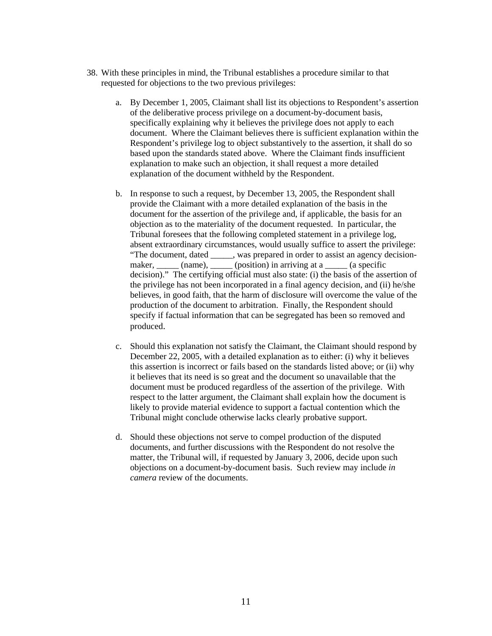- 38. With these principles in mind, the Tribunal establishes a procedure similar to that requested for objections to the two previous privileges:
	- a. By December 1, 2005, Claimant shall list its objections to Respondent's assertion of the deliberative process privilege on a document-by-document basis, specifically explaining why it believes the privilege does not apply to each document. Where the Claimant believes there is sufficient explanation within the Respondent's privilege log to object substantively to the assertion, it shall do so based upon the standards stated above. Where the Claimant finds insufficient explanation to make such an objection, it shall request a more detailed explanation of the document withheld by the Respondent.
	- b. In response to such a request, by December 13, 2005, the Respondent shall provide the Claimant with a more detailed explanation of the basis in the document for the assertion of the privilege and, if applicable, the basis for an objection as to the materiality of the document requested. In particular, the Tribunal foresees that the following completed statement in a privilege log, absent extraordinary circumstances, would usually suffice to assert the privilege: "The document, dated \_\_\_\_\_, was prepared in order to assist an agency decisionmaker, \_\_\_\_\_\_ (name), \_\_\_\_\_ (position) in arriving at a \_\_\_\_\_ (a specific decision)." The certifying official must also state: (i) the basis of the assertion of the privilege has not been incorporated in a final agency decision, and (ii) he/she believes, in good faith, that the harm of disclosure will overcome the value of the production of the document to arbitration. Finally, the Respondent should specify if factual information that can be segregated has been so removed and produced.
	- c. Should this explanation not satisfy the Claimant, the Claimant should respond by December 22, 2005, with a detailed explanation as to either: (i) why it believes this assertion is incorrect or fails based on the standards listed above; or (ii) why it believes that its need is so great and the document so unavailable that the document must be produced regardless of the assertion of the privilege. With respect to the latter argument, the Claimant shall explain how the document is likely to provide material evidence to support a factual contention which the Tribunal might conclude otherwise lacks clearly probative support.
	- d. Should these objections not serve to compel production of the disputed documents, and further discussions with the Respondent do not resolve the matter, the Tribunal will, if requested by January 3, 2006, decide upon such objections on a document-by-document basis. Such review may include *in camera* review of the documents.